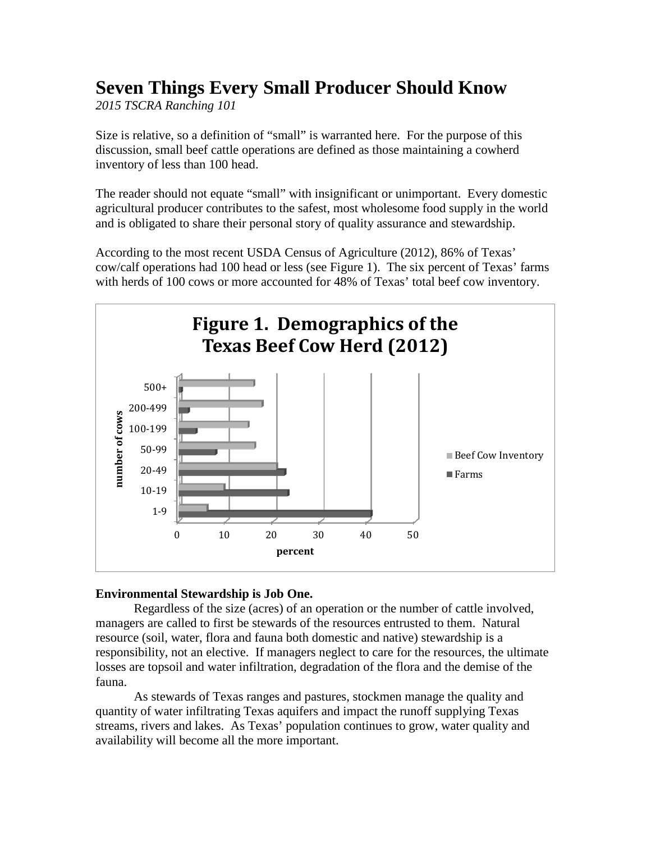# **Seven Things Every Small Producer Should Know**

*2015 TSCRA Ranching 101*

Size is relative, so a definition of "small" is warranted here. For the purpose of this discussion, small beef cattle operations are defined as those maintaining a cowherd inventory of less than 100 head.

The reader should not equate "small" with insignificant or unimportant. Every domestic agricultural producer contributes to the safest, most wholesome food supply in the world and is obligated to share their personal story of quality assurance and stewardship.

According to the most recent USDA Census of Agriculture (2012), 86% of Texas' cow/calf operations had 100 head or less (see Figure 1). The six percent of Texas' farms with herds of 100 cows or more accounted for 48% of Texas' total beef cow inventory.



## **Environmental Stewardship is Job One.**

Regardless of the size (acres) of an operation or the number of cattle involved, managers are called to first be stewards of the resources entrusted to them. Natural resource (soil, water, flora and fauna both domestic and native) stewardship is a responsibility, not an elective. If managers neglect to care for the resources, the ultimate losses are topsoil and water infiltration, degradation of the flora and the demise of the fauna.

As stewards of Texas ranges and pastures, stockmen manage the quality and quantity of water infiltrating Texas aquifers and impact the runoff supplying Texas streams, rivers and lakes. As Texas' population continues to grow, water quality and availability will become all the more important.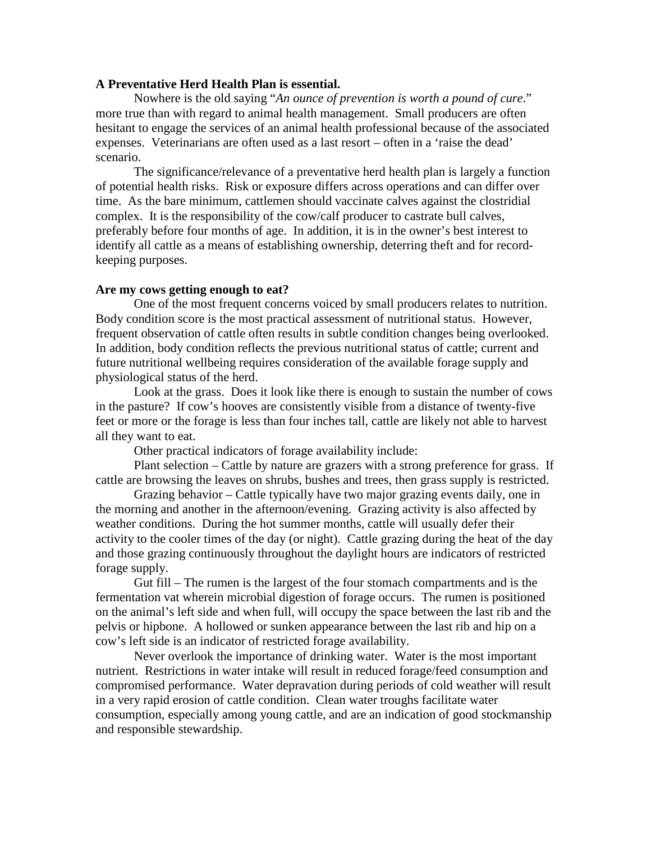### **A Preventative Herd Health Plan is essential.**

Nowhere is the old saying "*An ounce of prevention is worth a pound of cure*." more true than with regard to animal health management. Small producers are often hesitant to engage the services of an animal health professional because of the associated expenses. Veterinarians are often used as a last resort – often in a 'raise the dead' scenario.

The significance/relevance of a preventative herd health plan is largely a function of potential health risks. Risk or exposure differs across operations and can differ over time. As the bare minimum, cattlemen should vaccinate calves against the clostridial complex. It is the responsibility of the cow/calf producer to castrate bull calves, preferably before four months of age. In addition, it is in the owner's best interest to identify all cattle as a means of establishing ownership, deterring theft and for recordkeeping purposes.

#### **Are my cows getting enough to eat?**

One of the most frequent concerns voiced by small producers relates to nutrition. Body condition score is the most practical assessment of nutritional status. However, frequent observation of cattle often results in subtle condition changes being overlooked. In addition, body condition reflects the previous nutritional status of cattle; current and future nutritional wellbeing requires consideration of the available forage supply and physiological status of the herd.

Look at the grass. Does it look like there is enough to sustain the number of cows in the pasture? If cow's hooves are consistently visible from a distance of twenty-five feet or more or the forage is less than four inches tall, cattle are likely not able to harvest all they want to eat.

Other practical indicators of forage availability include:

Plant selection – Cattle by nature are grazers with a strong preference for grass. If cattle are browsing the leaves on shrubs, bushes and trees, then grass supply is restricted.

Grazing behavior – Cattle typically have two major grazing events daily, one in the morning and another in the afternoon/evening. Grazing activity is also affected by weather conditions. During the hot summer months, cattle will usually defer their activity to the cooler times of the day (or night). Cattle grazing during the heat of the day and those grazing continuously throughout the daylight hours are indicators of restricted forage supply.

Gut fill – The rumen is the largest of the four stomach compartments and is the fermentation vat wherein microbial digestion of forage occurs. The rumen is positioned on the animal's left side and when full, will occupy the space between the last rib and the pelvis or hipbone. A hollowed or sunken appearance between the last rib and hip on a cow's left side is an indicator of restricted forage availability.

Never overlook the importance of drinking water. Water is the most important nutrient. Restrictions in water intake will result in reduced forage/feed consumption and compromised performance. Water depravation during periods of cold weather will result in a very rapid erosion of cattle condition. Clean water troughs facilitate water consumption, especially among young cattle, and are an indication of good stockmanship and responsible stewardship.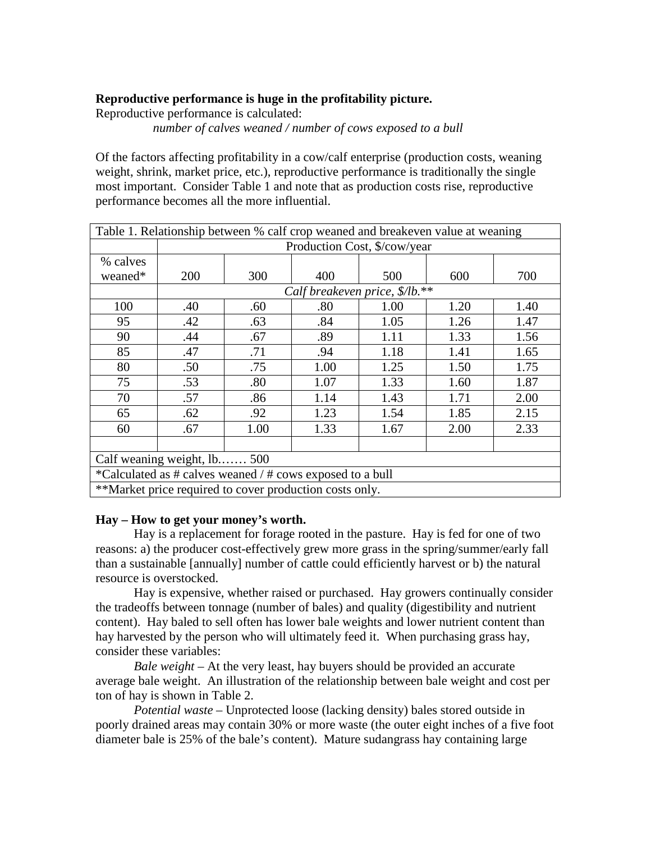## **Reproductive performance is huge in the profitability picture.**

Reproductive performance is calculated:

*number of calves weaned / number of cows exposed to a bull*

Of the factors affecting profitability in a cow/calf enterprise (production costs, weaning weight, shrink, market price, etc.), reproductive performance is traditionally the single most important. Consider Table 1 and note that as production costs rise, reproductive performance becomes all the more influential.

| Table 1. Relationship between % calf crop weaned and breakeven value at weaning |                                |      |      |      |      |      |  |  |  |  |
|---------------------------------------------------------------------------------|--------------------------------|------|------|------|------|------|--|--|--|--|
|                                                                                 | Production Cost, \$/cow/year   |      |      |      |      |      |  |  |  |  |
| % calves                                                                        |                                |      |      |      |      |      |  |  |  |  |
| weaned*                                                                         | 200                            | 300  | 400  | 500  | 600  | 700  |  |  |  |  |
|                                                                                 | Calf breakeven price, \$/lb.** |      |      |      |      |      |  |  |  |  |
| 100                                                                             | .40                            | .60  | .80  | 1.00 | 1.20 | 1.40 |  |  |  |  |
| 95                                                                              | .42                            | .63  | .84  | 1.05 | 1.26 | 1.47 |  |  |  |  |
| 90                                                                              | .44                            | .67  | .89  | 1.11 | 1.33 | 1.56 |  |  |  |  |
| 85                                                                              | .47                            | .71  | .94  | 1.18 | 1.41 | 1.65 |  |  |  |  |
| 80                                                                              | .50                            | .75  | 1.00 | 1.25 | 1.50 | 1.75 |  |  |  |  |
| 75                                                                              | .53                            | .80  | 1.07 | 1.33 | 1.60 | 1.87 |  |  |  |  |
| 70                                                                              | .57                            | .86  | 1.14 | 1.43 | 1.71 | 2.00 |  |  |  |  |
| 65                                                                              | .62                            | .92  | 1.23 | 1.54 | 1.85 | 2.15 |  |  |  |  |
| 60                                                                              | .67                            | 1.00 | 1.33 | 1.67 | 2.00 | 2.33 |  |  |  |  |
|                                                                                 |                                |      |      |      |      |      |  |  |  |  |
| Calf weaning weight, lb 500                                                     |                                |      |      |      |      |      |  |  |  |  |
| *Calculated as # calves weaned / # cows exposed to a bull                       |                                |      |      |      |      |      |  |  |  |  |
| **Market price required to cover production costs only.                         |                                |      |      |      |      |      |  |  |  |  |

## **Hay – How to get your money's worth.**

Hay is a replacement for forage rooted in the pasture. Hay is fed for one of two reasons: a) the producer cost-effectively grew more grass in the spring/summer/early fall than a sustainable [annually] number of cattle could efficiently harvest or b) the natural resource is overstocked.

Hay is expensive, whether raised or purchased. Hay growers continually consider the tradeoffs between tonnage (number of bales) and quality (digestibility and nutrient content). Hay baled to sell often has lower bale weights and lower nutrient content than hay harvested by the person who will ultimately feed it. When purchasing grass hay, consider these variables:

*Bale weight* – At the very least, hay buyers should be provided an accurate average bale weight. An illustration of the relationship between bale weight and cost per ton of hay is shown in Table 2.

*Potential waste* – Unprotected loose (lacking density) bales stored outside in poorly drained areas may contain 30% or more waste (the outer eight inches of a five foot diameter bale is 25% of the bale's content). Mature sudangrass hay containing large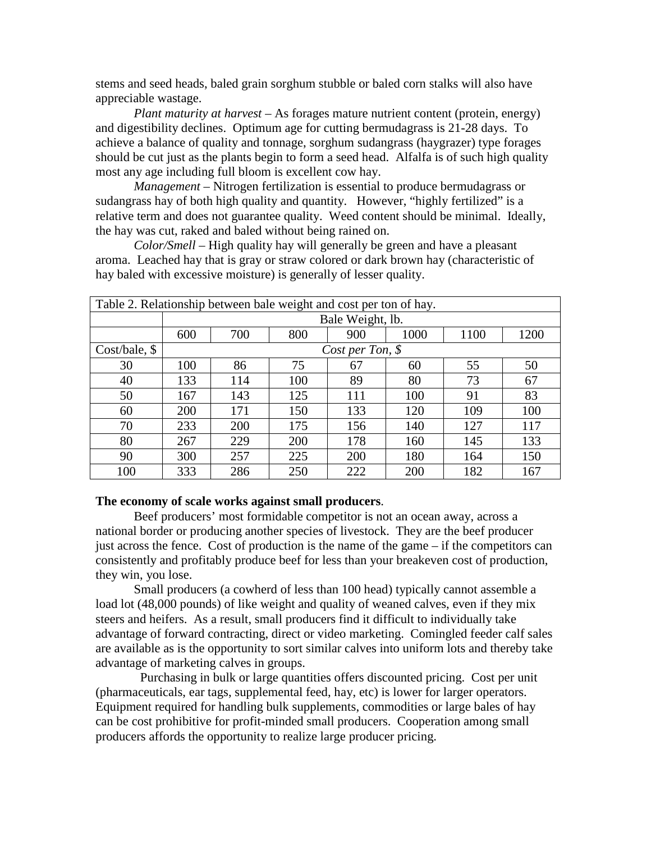stems and seed heads, baled grain sorghum stubble or baled corn stalks will also have appreciable wastage.

*Plant maturity at harvest* – As forages mature nutrient content (protein, energy) and digestibility declines. Optimum age for cutting bermudagrass is 21-28 days. To achieve a balance of quality and tonnage, sorghum sudangrass (haygrazer) type forages should be cut just as the plants begin to form a seed head. Alfalfa is of such high quality most any age including full bloom is excellent cow hay.

*Management* – Nitrogen fertilization is essential to produce bermudagrass or sudangrass hay of both high quality and quantity. However, "highly fertilized" is a relative term and does not guarantee quality. Weed content should be minimal. Ideally, the hay was cut, raked and baled without being rained on.

*Color/Smell* – High quality hay will generally be green and have a pleasant aroma. Leached hay that is gray or straw colored or dark brown hay (characteristic of hay baled with excessive moisture) is generally of lesser quality.

| Table 2. Relationship between bale weight and cost per ton of hay. |                   |     |     |     |      |      |      |  |  |  |  |
|--------------------------------------------------------------------|-------------------|-----|-----|-----|------|------|------|--|--|--|--|
|                                                                    | Bale Weight, lb.  |     |     |     |      |      |      |  |  |  |  |
|                                                                    | 600               | 700 | 800 | 900 | 1000 | 1100 | 1200 |  |  |  |  |
| Cost/bale,                                                         | Cost per Ton, $$$ |     |     |     |      |      |      |  |  |  |  |
| 30                                                                 | 100               | 86  | 75  | 67  | 60   | 55   | 50   |  |  |  |  |
| 40                                                                 | 133               | 114 | 100 | 89  | 80   | 73   | 67   |  |  |  |  |
| 50                                                                 | 167               | 143 | 125 | 111 | 100  | 91   | 83   |  |  |  |  |
| 60                                                                 | 200               | 171 | 150 | 133 | 120  | 109  | 100  |  |  |  |  |
| 70                                                                 | 233               | 200 | 175 | 156 | 140  | 127  | 117  |  |  |  |  |
| 80                                                                 | 267               | 229 | 200 | 178 | 160  | 145  | 133  |  |  |  |  |
| 90                                                                 | 300               | 257 | 225 | 200 | 180  | 164  | 150  |  |  |  |  |
| 100                                                                | 333               | 286 | 250 | 222 | 200  | 182  | 167  |  |  |  |  |

### **The economy of scale works against small producers**.

Beef producers' most formidable competitor is not an ocean away, across a national border or producing another species of livestock. They are the beef producer just across the fence. Cost of production is the name of the game – if the competitors can consistently and profitably produce beef for less than your breakeven cost of production, they win, you lose.

Small producers (a cowherd of less than 100 head) typically cannot assemble a load lot (48,000 pounds) of like weight and quality of weaned calves, even if they mix steers and heifers. As a result, small producers find it difficult to individually take advantage of forward contracting, direct or video marketing. Comingled feeder calf sales are available as is the opportunity to sort similar calves into uniform lots and thereby take advantage of marketing calves in groups.

 Purchasing in bulk or large quantities offers discounted pricing. Cost per unit (pharmaceuticals, ear tags, supplemental feed, hay, etc) is lower for larger operators. Equipment required for handling bulk supplements, commodities or large bales of hay can be cost prohibitive for profit-minded small producers. Cooperation among small producers affords the opportunity to realize large producer pricing.